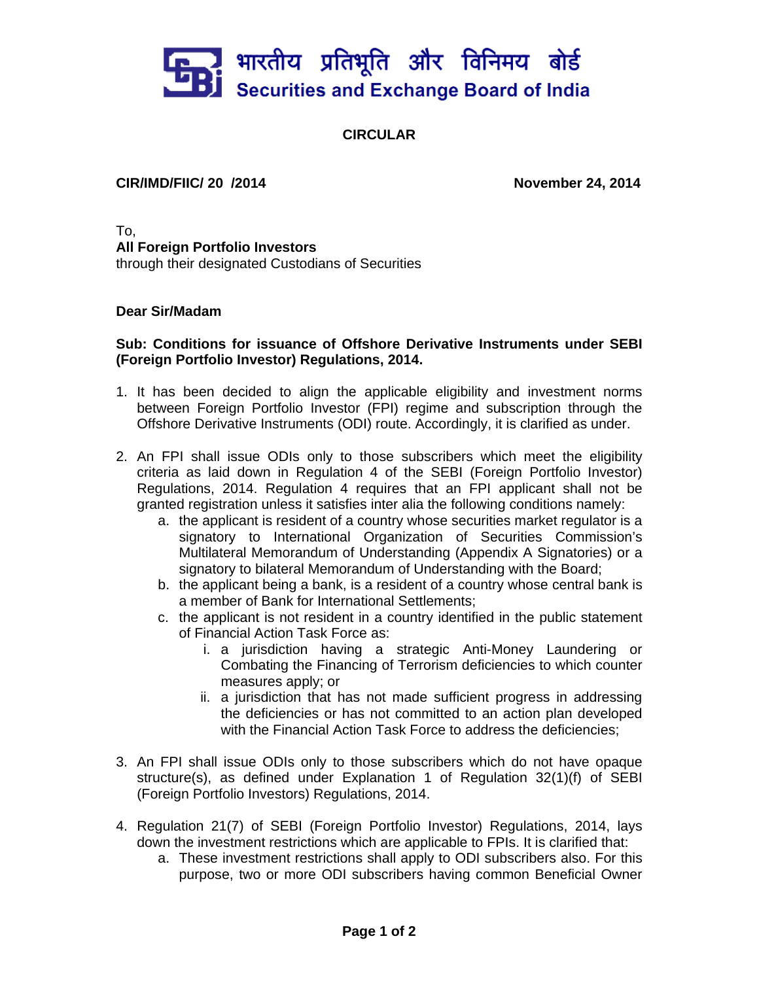

## **CIRCULAR**

## **CIR/IMD/FIIC/ 20 /2014 November 24, 2014**

To, **All Foreign Portfolio Investors**  through their designated Custodians of Securities

## **Dear Sir/Madam**

## **Sub: Conditions for issuance of Offshore Derivative Instruments under SEBI (Foreign Portfolio Investor) Regulations, 2014.**

- 1. It has been decided to align the applicable eligibility and investment norms between Foreign Portfolio Investor (FPI) regime and subscription through the Offshore Derivative Instruments (ODI) route. Accordingly, it is clarified as under.
- 2. An FPI shall issue ODIs only to those subscribers which meet the eligibility criteria as laid down in Regulation 4 of the SEBI (Foreign Portfolio Investor) Regulations, 2014. Regulation 4 requires that an FPI applicant shall not be granted registration unless it satisfies inter alia the following conditions namely:
	- a. the applicant is resident of a country whose securities market regulator is a signatory to International Organization of Securities Commission's Multilateral Memorandum of Understanding (Appendix A Signatories) or a signatory to bilateral Memorandum of Understanding with the Board;
	- b. the applicant being a bank, is a resident of a country whose central bank is a member of Bank for International Settlements;
	- c. the applicant is not resident in a country identified in the public statement of Financial Action Task Force as:
		- i. a jurisdiction having a strategic Anti-Money Laundering or Combating the Financing of Terrorism deficiencies to which counter measures apply; or
		- ii. a jurisdiction that has not made sufficient progress in addressing the deficiencies or has not committed to an action plan developed with the Financial Action Task Force to address the deficiencies;
- 3. An FPI shall issue ODIs only to those subscribers which do not have opaque structure(s), as defined under Explanation 1 of Regulation 32(1)(f) of SEBI (Foreign Portfolio Investors) Regulations, 2014.
- 4. Regulation 21(7) of SEBI (Foreign Portfolio Investor) Regulations, 2014, lays down the investment restrictions which are applicable to FPIs. It is clarified that:
	- a. These investment restrictions shall apply to ODI subscribers also. For this purpose, two or more ODI subscribers having common Beneficial Owner